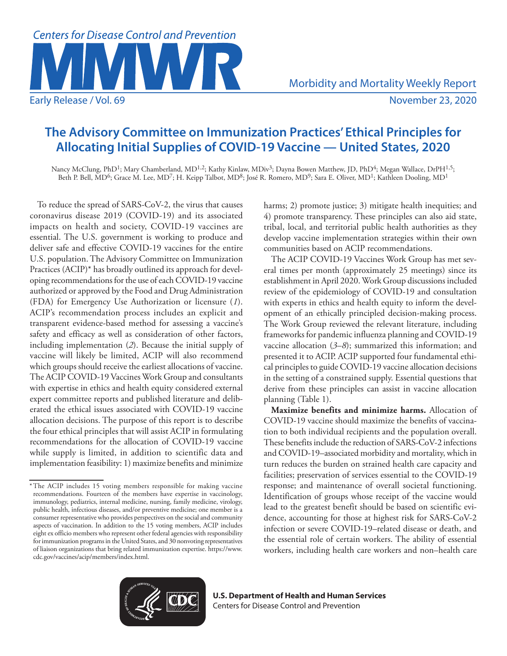

Morbidity and Mortality Weekly Report

**The Advisory Committee on Immunization Practices' Ethical Principles for Allocating Initial Supplies of COVID-19 Vaccine — United States, 2020**

Nancy McClung, PhD<sup>1</sup>; Mary Chamberland, MD<sup>1,2</sup>; Kathy Kinlaw, MDiv<sup>3</sup>; Dayna Bowen Matthew, JD, PhD<sup>4</sup>; Megan Wallace, DrPH<sup>1,5</sup>; Beth P. Bell, MD<sup>6</sup>; Grace M. Lee, MD<sup>7</sup>; H. Keipp Talbot, MD<sup>8</sup>; José R. Romero, MD<sup>9</sup>; Sara E. Oliver, MD<sup>1</sup>; Kathleen Dooling, MD<sup>1</sup>

To reduce the spread of SARS-CoV-2, the virus that causes coronavirus disease 2019 (COVID-19) and its associated impacts on health and society, COVID-19 vaccines are essential. The U.S. government is working to produce and deliver safe and effective COVID-19 vaccines for the entire U.S. population. The Advisory Committee on Immunization Practices (ACIP)\* has broadly outlined its approach for developing recommendations for the use of each COVID-19 vaccine authorized or approved by the Food and Drug Administration (FDA) for Emergency Use Authorization or licensure (*1*). ACIP's recommendation process includes an explicit and transparent evidence-based method for assessing a vaccine's safety and efficacy as well as consideration of other factors, including implementation (*2*). Because the initial supply of vaccine will likely be limited, ACIP will also recommend which groups should receive the earliest allocations of vaccine. The ACIP COVID-19 Vaccines Work Group and consultants with expertise in ethics and health equity considered external expert committee reports and published literature and deliberated the ethical issues associated with COVID-19 vaccine allocation decisions. The purpose of this report is to describe the four ethical principles that will assist ACIP in formulating recommendations for the allocation of COVID-19 vaccine while supply is limited, in addition to scientific data and implementation feasibility: 1) maximize benefits and minimize

harms; 2) promote justice; 3) mitigate health inequities; and 4) promote transparency. These principles can also aid state, tribal, local, and territorial public health authorities as they develop vaccine implementation strategies within their own communities based on ACIP recommendations.

The ACIP COVID-19 Vaccines Work Group has met several times per month (approximately 25 meetings) since its establishment in April 2020. Work Group discussions included review of the epidemiology of COVID-19 and consultation with experts in ethics and health equity to inform the development of an ethically principled decision-making process. The Work Group reviewed the relevant literature, including frameworks for pandemic influenza planning and COVID-19 vaccine allocation (*3*–*8*); summarized this information; and presented it to ACIP. ACIP supported four fundamental ethical principles to guide COVID-19 vaccine allocation decisions in the setting of a constrained supply. Essential questions that derive from these principles can assist in vaccine allocation planning (Table 1).

**Maximize benefits and minimize harms.** Allocation of COVID-19 vaccine should maximize the benefits of vaccination to both individual recipients and the population overall. These benefits include the reduction of SARS-CoV-2 infections and COVID-19–associated morbidity and mortality, which in turn reduces the burden on strained health care capacity and facilities; preservation of services essential to the COVID-19 response; and maintenance of overall societal functioning. Identification of groups whose receipt of the vaccine would lead to the greatest benefit should be based on scientific evidence, accounting for those at highest risk for SARS-CoV-2 infection or severe COVID-19–related disease or death, and the essential role of certain workers. The ability of essential workers, including health care workers and non–health care



<sup>\*</sup>The ACIP includes 15 voting members responsible for making vaccine recommendations. Fourteen of the members have expertise in vaccinology, immunology, pediatrics, internal medicine, nursing, family medicine, virology, public health, infectious diseases, and/or preventive medicine; one member is a consumer representative who provides perspectives on the social and community aspects of vaccination. In addition to the 15 voting members, ACIP includes eight ex officio members who represent other federal agencies with responsibility for immunization programs in the United States, and 30 nonvoting representatives of liaison organizations that bring related immunization expertise. [https://www.](https://www.cdc.gov/vaccines/acip/members/index.html) [cdc.gov/vaccines/acip/members/index.html](https://www.cdc.gov/vaccines/acip/members/index.html).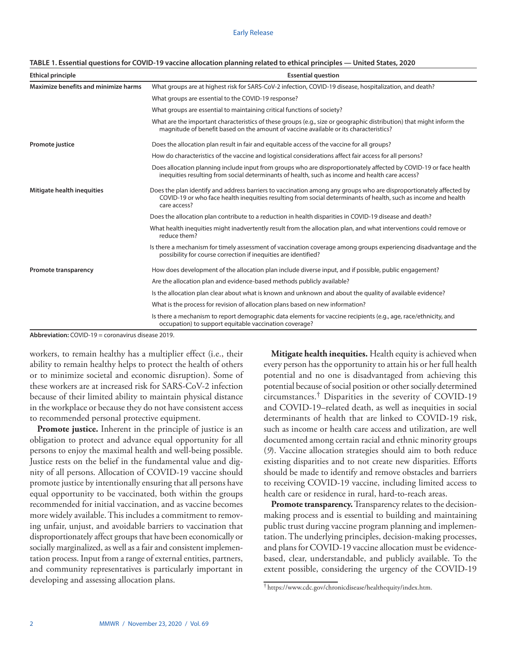| <b>Ethical principle</b>             | <b>Essential question</b>                                                                                                                                                                                                                            |  |  |  |
|--------------------------------------|------------------------------------------------------------------------------------------------------------------------------------------------------------------------------------------------------------------------------------------------------|--|--|--|
| Maximize benefits and minimize harms | What groups are at highest risk for SARS-CoV-2 infection, COVID-19 disease, hospitalization, and death?                                                                                                                                              |  |  |  |
|                                      | What groups are essential to the COVID-19 response?                                                                                                                                                                                                  |  |  |  |
|                                      | What groups are essential to maintaining critical functions of society?                                                                                                                                                                              |  |  |  |
|                                      | What are the important characteristics of these groups (e.g., size or geographic distribution) that might inform the<br>magnitude of benefit based on the amount of vaccine available or its characteristics?                                        |  |  |  |
| Promote justice                      | Does the allocation plan result in fair and equitable access of the vaccine for all groups?                                                                                                                                                          |  |  |  |
|                                      | How do characteristics of the vaccine and logistical considerations affect fair access for all persons?                                                                                                                                              |  |  |  |
|                                      | Does allocation planning include input from groups who are disproportionately affected by COVID-19 or face health<br>inequities resulting from social determinants of health, such as income and health care access?                                 |  |  |  |
| Mitigate health inequities           | Does the plan identify and address barriers to vaccination among any groups who are disproportionately affected by<br>COVID-19 or who face health inequities resulting from social determinants of health, such as income and health<br>care access? |  |  |  |
|                                      | Does the allocation plan contribute to a reduction in health disparities in COVID-19 disease and death?                                                                                                                                              |  |  |  |
|                                      | What health inequities might inadvertently result from the allocation plan, and what interventions could remove or<br>reduce them?                                                                                                                   |  |  |  |
|                                      | Is there a mechanism for timely assessment of vaccination coverage among groups experiencing disadvantage and the<br>possibility for course correction if inequities are identified?                                                                 |  |  |  |
| Promote transparency                 | How does development of the allocation plan include diverse input, and if possible, public engagement?                                                                                                                                               |  |  |  |
|                                      | Are the allocation plan and evidence-based methods publicly available?                                                                                                                                                                               |  |  |  |
|                                      | Is the allocation plan clear about what is known and unknown and about the quality of available evidence?                                                                                                                                            |  |  |  |
|                                      | What is the process for revision of allocation plans based on new information?                                                                                                                                                                       |  |  |  |
|                                      | Is there a mechanism to report demographic data elements for vaccine recipients (e.g., age, race/ethnicity, and<br>occupation) to support equitable vaccination coverage?                                                                            |  |  |  |

### **TABLE 1. Essential questions for COVID-19 vaccine allocation planning related to ethical principles — United States, 2020**

**Abbreviation:** COVID-19 = coronavirus disease 2019.

workers, to remain healthy has a multiplier effect (i.e., their ability to remain healthy helps to protect the health of others or to minimize societal and economic disruption). Some of these workers are at increased risk for SARS-CoV-2 infection because of their limited ability to maintain physical distance in the workplace or because they do not have consistent access to recommended personal protective equipment.

**Promote justice.** Inherent in the principle of justice is an obligation to protect and advance equal opportunity for all persons to enjoy the maximal health and well-being possible. Justice rests on the belief in the fundamental value and dignity of all persons. Allocation of COVID-19 vaccine should promote justice by intentionally ensuring that all persons have equal opportunity to be vaccinated, both within the groups recommended for initial vaccination, and as vaccine becomes more widely available. This includes a commitment to removing unfair, unjust, and avoidable barriers to vaccination that disproportionately affect groups that have been economically or socially marginalized, as well as a fair and consistent implementation process. Input from a range of external entities, partners, and community representatives is particularly important in developing and assessing allocation plans.

**Mitigate health inequities.** Health equity is achieved when every person has the opportunity to attain his or her full health potential and no one is disadvantaged from achieving this potential because of social position or other socially determined circumstances.† Disparities in the severity of COVID-19 and COVID-19–related death, as well as inequities in social determinants of health that are linked to COVID-19 risk, such as income or health care access and utilization, are well documented among certain racial and ethnic minority groups (*9*). Vaccine allocation strategies should aim to both reduce existing disparities and to not create new disparities. Efforts should be made to identify and remove obstacles and barriers to receiving COVID-19 vaccine, including limited access to health care or residence in rural, hard-to-reach areas.

**Promote transparency.** Transparency relates to the decisionmaking process and is essential to building and maintaining public trust during vaccine program planning and implementation. The underlying principles, decision-making processes, and plans for COVID-19 vaccine allocation must be evidencebased, clear, understandable, and publicly available. To the extent possible, considering the urgency of the COVID-19

<sup>†</sup> <https://www.cdc.gov/chronicdisease/healthequity/index.htm>.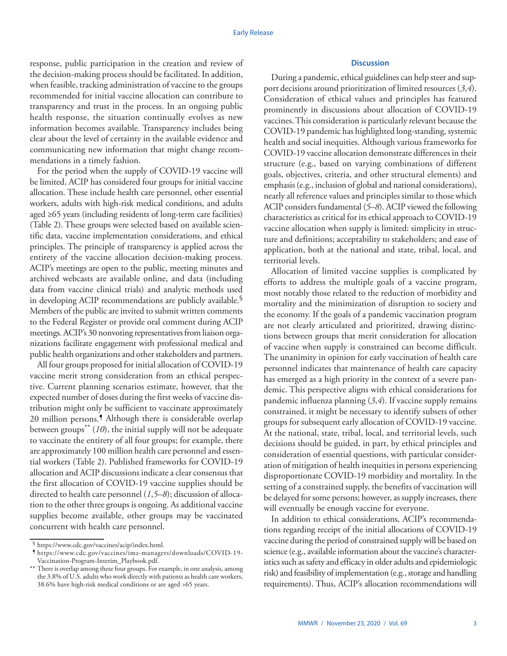response, public participation in the creation and review of the decision-making process should be facilitated. In addition, when feasible, tracking administration of vaccine to the groups recommended for initial vaccine allocation can contribute to transparency and trust in the process. In an ongoing public health response, the situation continually evolves as new information becomes available. Transparency includes being clear about the level of certainty in the available evidence and communicating new information that might change recommendations in a timely fashion.

For the period when the supply of COVID-19 vaccine will be limited, ACIP has considered four groups for initial vaccine allocation. These include health care personnel, other essential workers, adults with high-risk medical conditions, and adults aged ≥65 years (including residents of long-term care facilities) (Table 2). These groups were selected based on available scientific data, vaccine implementation considerations, and ethical principles. The principle of transparency is applied across the entirety of the vaccine allocation decision-making process. ACIP's meetings are open to the public, meeting minutes and archived webcasts are available online, and data (including data from vaccine clinical trials) and analytic methods used in developing ACIP recommendations are publicly available.§ Members of the public are invited to submit written comments to the Federal Register or provide oral comment during ACIP meetings. ACIP's 30 nonvoting representatives from liaison organizations facilitate engagement with professional medical and public health organizations and other stakeholders and partners.

All four groups proposed for initial allocation of COVID-19 vaccine merit strong consideration from an ethical perspective. Current planning scenarios estimate, however, that the expected number of doses during the first weeks of vaccine distribution might only be sufficient to vaccinate approximately 20 million persons.<sup>5</sup> Although there is considerable overlap between groups<sup>\*\*</sup> (10), the initial supply will not be adequate to vaccinate the entirety of all four groups; for example, there are approximately 100 million health care personnel and essential workers (Table 2). Published frameworks for COVID-19 allocation and ACIP discussions indicate a clear consensus that the first allocation of COVID-19 vaccine supplies should be directed to health care personnel (*1*,*5*–*8*); discussion of allocation to the other three groups is ongoing. As additional vaccine supplies become available, other groups may be vaccinated concurrent with health care personnel.

# **Discussion**

During a pandemic, ethical guidelines can help steer and support decisions around prioritization of limited resources (*3*,*4*). Consideration of ethical values and principles has featured prominently in discussions about allocation of COVID-19 vaccines. This consideration is particularly relevant because the COVID-19 pandemic has highlighted long-standing, systemic health and social inequities. Although various frameworks for COVID-19 vaccine allocation demonstrate differences in their structure (e.g., based on varying combinations of different goals, objectives, criteria, and other structural elements) and emphasis (e.g., inclusion of global and national considerations), nearly all reference values and principles similar to those which ACIP considers fundamental (*5*–*8*). ACIP viewed the following characteristics as critical for its ethical approach to COVID-19 vaccine allocation when supply is limited: simplicity in structure and definitions; acceptability to stakeholders; and ease of application, both at the national and state, tribal, local, and territorial levels.

Allocation of limited vaccine supplies is complicated by efforts to address the multiple goals of a vaccine program, most notably those related to the reduction of morbidity and mortality and the minimization of disruption to society and the economy. If the goals of a pandemic vaccination program are not clearly articulated and prioritized, drawing distinctions between groups that merit consideration for allocation of vaccine when supply is constrained can become difficult. The unanimity in opinion for early vaccination of health care personnel indicates that maintenance of health care capacity has emerged as a high priority in the context of a severe pandemic. This perspective aligns with ethical considerations for pandemic influenza planning (*3*,*4*). If vaccine supply remains constrained, it might be necessary to identify subsets of other groups for subsequent early allocation of COVID-19 vaccine. At the national, state, tribal, local, and territorial levels, such decisions should be guided, in part, by ethical principles and consideration of essential questions, with particular consideration of mitigation of health inequities in persons experiencing disproportionate COVID-19 morbidity and mortality. In the setting of a constrained supply, the benefits of vaccination will be delayed for some persons; however, as supply increases, there will eventually be enough vaccine for everyone.

In addition to ethical considerations, ACIP's recommendations regarding receipt of the initial allocations of COVID-19 vaccine during the period of constrained supply will be based on science (e.g., available information about the vaccine's characteristics such as safety and efficacy in older adults and epidemiologic risk) and feasibility of implementation (e.g., storage and handling requirements). Thus, ACIP's allocation recommendations will

<sup>§</sup> [https://www.cdc.gov/vaccines/acip/index.html.](https://www.cdc.gov/vaccines/acip/index.html) ¶ [https://www.cdc.gov/vaccines/imz-managers/downloads/COVID-19-](https://www.cdc.gov/vaccines/imz-managers/downloads/COVID-19-Vaccination-Program-Interim_Playbook.pdf) [Vaccination-Program-Interim\\_Playbook.pdf.](https://www.cdc.gov/vaccines/imz-managers/downloads/COVID-19-Vaccination-Program-Interim_Playbook.pdf)

<sup>\*\*</sup> There is overlap among these four groups. For example, in one analysis, among the 3.8% of U.S. adults who work directly with patients as health care workers, 38.6% have high-risk medical conditions or are aged >65 years.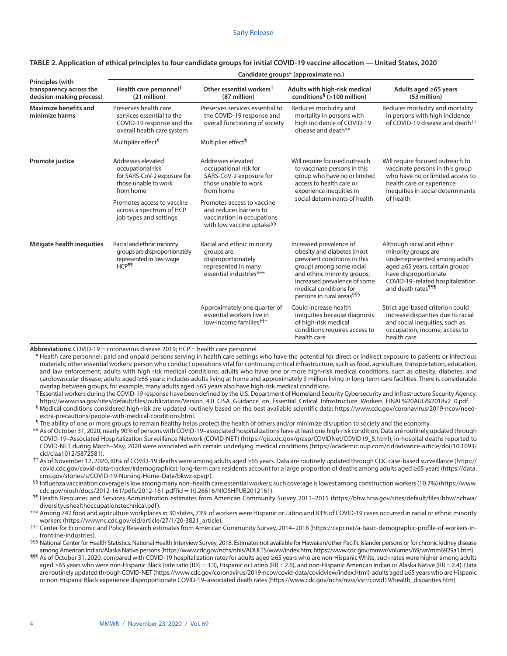|                                                                         | Candidate groups* (approximate no.)                                                                                                                                                             |                                                                                                                                                                                                                                             |                                                                                                                                                                                                                                                     |                                                                                                                                                                                                                           |  |
|-------------------------------------------------------------------------|-------------------------------------------------------------------------------------------------------------------------------------------------------------------------------------------------|---------------------------------------------------------------------------------------------------------------------------------------------------------------------------------------------------------------------------------------------|-----------------------------------------------------------------------------------------------------------------------------------------------------------------------------------------------------------------------------------------------------|---------------------------------------------------------------------------------------------------------------------------------------------------------------------------------------------------------------------------|--|
| Principles (with<br>transparency across the<br>decision-making process) | Health care personnel <sup>†</sup><br>(21 million)                                                                                                                                              | Other essential workers <sup>†</sup><br>(87 million)                                                                                                                                                                                        | Adults with high-risk medical<br>conditions <sup>§</sup> (>100 million)                                                                                                                                                                             | Adults aged $\geq 65$ years<br>(53 million)                                                                                                                                                                               |  |
| <b>Maximize benefits and</b><br>minimize harms                          | Preserves health care<br>services essential to the<br>COVID-19 response and the<br>overall health care system                                                                                   | Preserves services essential to<br>the COVID-19 response and<br>overall functioning of society                                                                                                                                              | Reduces morbidity and<br>mortality in persons with<br>high incidence of COVID-19<br>disease and death**                                                                                                                                             | Reduces morbidity and mortality<br>in persons with high incidence<br>of COVID-19 disease and death <sup>††</sup>                                                                                                          |  |
|                                                                         | Multiplier effect <sup>¶</sup>                                                                                                                                                                  | Multiplier effect <sup>¶</sup>                                                                                                                                                                                                              |                                                                                                                                                                                                                                                     |                                                                                                                                                                                                                           |  |
| Promote justice                                                         | Addresses elevated<br>occupational risk<br>for SARS-CoV-2 exposure for<br>those unable to work<br>from home<br>Promotes access to vaccine<br>across a spectrum of HCP<br>job types and settings | Addresses elevated<br>occupational risk for<br>SARS-CoV-2 exposure for<br>those unable to work<br>from home<br>Promotes access to vaccine<br>and reduces barriers to<br>vaccination in occupations<br>with low vaccine uptake <sup>§§</sup> | Will require focused outreach<br>to vaccinate persons in this<br>group who have no or limited<br>access to health care or<br>experience inequities in<br>social determinants of health                                                              | Will require focused outreach to<br>vaccinate persons in this group<br>who have no or limited access to<br>health care or experience<br>inequities in social determinants<br>of health                                    |  |
| Mitigate health inequities                                              | Racial and ethnic minority<br>groups are disproportionately<br>represented in low-wage<br>HCP <sup>II</sup>                                                                                     | Racial and ethnic minority<br>groups are<br>disproportionately<br>represented in many<br>essential industries***                                                                                                                            | Increased prevalence of<br>obesity and diabetes (most<br>prevalent conditions in this<br>group) among some racial<br>and ethnic minority groups;<br>increased prevalence of some<br>medical conditions for<br>persons in rural areas <sup>§§§</sup> | Although racial and ethnic<br>minority groups are<br>underrepresented among adults<br>aged $\geq 65$ years, certain groups<br>have disproportionate<br>COVID-19-related hospitalization<br>and death rates <sup>111</sup> |  |
|                                                                         |                                                                                                                                                                                                 | Approximately one quarter of<br>essential workers live in<br>low-income families <sup>†††</sup>                                                                                                                                             | Could increase health<br>inequities because diagnosis<br>of high-risk medical<br>conditions requires access to<br>health care                                                                                                                       | Strict age-based criterion could<br>increase disparities due to racial<br>and social inequities, such as<br>occupation, income, access to<br>health care                                                                  |  |

### **TABLE 2. Application of ethical principles to four candidate groups for initial COVID-19 vaccine allocation — United States, 2020**

**Abbreviations:** COVID-19 = coronavirus disease 2019; HCP = health care personnel.

- \* Health care personnel: paid and unpaid persons serving in health care settings who have the potential for direct or indirect exposure to patients or infectious materials; other essential workers: person who conduct operations vital for continuing critical infrastructure, such as food, agriculture, transportation, education, and law enforcement; adults with high risk medical conditions: adults who have one or more high-risk medical conditions, such as obesity, diabetes, and cardiovascular disease; adults aged ≥65 years: includes adults living at home and approximately 3 million living in long-term care facilities. There is considerable overlap between groups, for example, many adults aged ≥65 years also have high-risk medical conditions.
- † Essential workers during the COVID-19 response have been defined by the U.S. Department of Homeland Security Cybersecurity and Infrastructure Security Agency. [https://www.cisa.gov/sites/default/files/publications/Version\\_4.0\\_CISA\\_Guidance\\_on\\_Essential\\_Critical\\_Infrastructure\\_Workers\\_FINAL%20AUG%2018v2\\_0.pdf](https://www.cisa.gov/sites/default/files/publications/Version_4.0_CISA_Guidance_on_Essential_Critical_Infrastructure_Workers_FINAL%20AUG%2018v2_0.pdf).<br>- Medical conditions considered high-risk are updated routinely based o

[extra-precautions/people-with-medical-conditions.html](https://www.cdc.gov/coronavirus/2019-ncov/need-extra-precautions/people-with-medical-conditions.html).<br>¶ The ability of one or more groups to remain healthy helps protect the health of others and/or minimize disruption to society and the economy.

- \*\* As of October 31, 2020, nearly 90% of persons with COVID-19–associated hospitalizations have at least one high-risk condition. Data are routinely updated through COVID-19–Associated Hospitalization Surveillance Network (COVID-NET) [\(https://gis.cdc.gov/grasp/COVIDNet/COVID19\\_5.html](https://gis.cdc.gov/grasp/COVIDNet/COVID19_5.html)); in-hospital deaths reported to COVID-NET during March–May, 2020 were associated with certain underlying medical conditions [\(https://academic.oup.com/cid/advance-article/doi/10.1093/](https://academic.oup.com/cid/advance-article/doi/10.1093/cid/ciaa1012/5872581) [cid/ciaa1012/5872581\)](https://academic.oup.com/cid/advance-article/doi/10.1093/cid/ciaa1012/5872581).
- †† As of November 12, 2020, 80% of COVID-19 deaths were among adults aged ≥65 years. Data are routinely updated through CDC case-based surveillance [\(https://](https://covid.cdc.gov/covid-data-tracker/#demographics) [covid.cdc.gov/covid-data-tracker/#demographics](https://covid.cdc.gov/covid-data-tracker/#demographics)); long-term care residents account for a large proportion of deaths among adults aged ≥65 years ([https://data.](https://data.cms.gov/stories/s/COVID-19-Nursing-Home-Data/bkwz-xpvg/) [cms.gov/stories/s/COVID-19-Nursing-Home-Data/bkwz-xpvg/](https://data.cms.gov/stories/s/COVID-19-Nursing-Home-Data/bkwz-xpvg/)).
- §§ Influenza vaccination coverage is low among many non–health care essential workers; such coverage is lowest among construction workers (10.7%) [\(https://www.](https://www.cdc.gov/niosh/docs/2012-161/pdfs/2012-161.pdf?id%20=%2010.26616/NIOSHPUB2012161) [cdc.gov/niosh/docs/2012-161/pdfs/2012-161.pdf?id = 10.26616/NIOSHPUB2012161\)](https://www.cdc.gov/niosh/docs/2012-161/pdfs/2012-161.pdf?id%20=%2010.26616/NIOSHPUB2012161).

¶¶ Health Resources and Services Administration estimates from American Community Survey 2011–2015 ([https://bhw.hrsa.gov/sites/default/files/bhw/nchwa/](https://bhw.hrsa.gov/sites/default/files/bhw/nchwa/diversityushealthoccupationstechnical.pdf) [diversityushealthoccupationstechnical.pdf](https://bhw.hrsa.gov/sites/default/files/bhw/nchwa/diversityushealthoccupationstechnical.pdf)).

- \*\*\* Among 742 food and agriculture workplaces in 30 states, 73% of workers were Hispanic or Latino and 83% of COVID-19 cases occurred in racial or ethnic minority workers [\(https://wwwnc.cdc.gov/eid/article/27/1/20-3821\\_article](https://wwwnc.cdc.gov/eid/article/27/1/20-3821_article)).
- ††† Center for Economic and Policy Research estimates from American Community Survey, 2014–2018 [\(https://cepr.net/a-basic-demographic-profile-of-workers-in](https://cepr.net/a-basic-demographic-profile-of-workers-in-frontline-industries)[frontline-industries\)](https://cepr.net/a-basic-demographic-profile-of-workers-in-frontline-industries).
- §§§ National Center for Health Statistics. National Health Interview Survey, 2018. Estimates not available for Hawaiian/other Pacific Islander persons or for chronic kidney disease among American Indian/Alaska Native persons [\(https://www.cdc.gov/nchs/nhis/ADULTS/www/index.htm;](https://www.cdc.gov/nchs/nhis/ADULTS/www/index.htm) [https://www.cdc.gov/mmwr/volumes/69/wr/mm6929a1.htm\)](https://www.cdc.gov/mmwr/volumes/69/wr/mm6929a1.htm).
- ¶¶¶ As of October 31, 2020, compared with COVID-19 hospitalization rates for adults aged ≥65 years who are non-Hispanic White, such rates were higher among adults aged ≥65 years who were non-Hispanic Black (rate ratio [RR] = 3.3), Hispanic or Latino (RR = 2.6), and non-Hispanic American Indian or Alaska Native (RR = 2.4). Data are routinely updated through COVID-NET (<https://www.cdc.gov/coronavirus/2019-ncov/covid-data/covidview/index.html>); adults aged ≥65 years who are Hispanic or non-Hispanic Black experience disproportionate COVID-19–associated death rates [\(https://www.cdc.gov/nchs/nvss/vsrr/covid19/health\\_disparities.htm\)](https://www.cdc.gov/nchs/nvss/vsrr/covid19/health_disparities.htm).